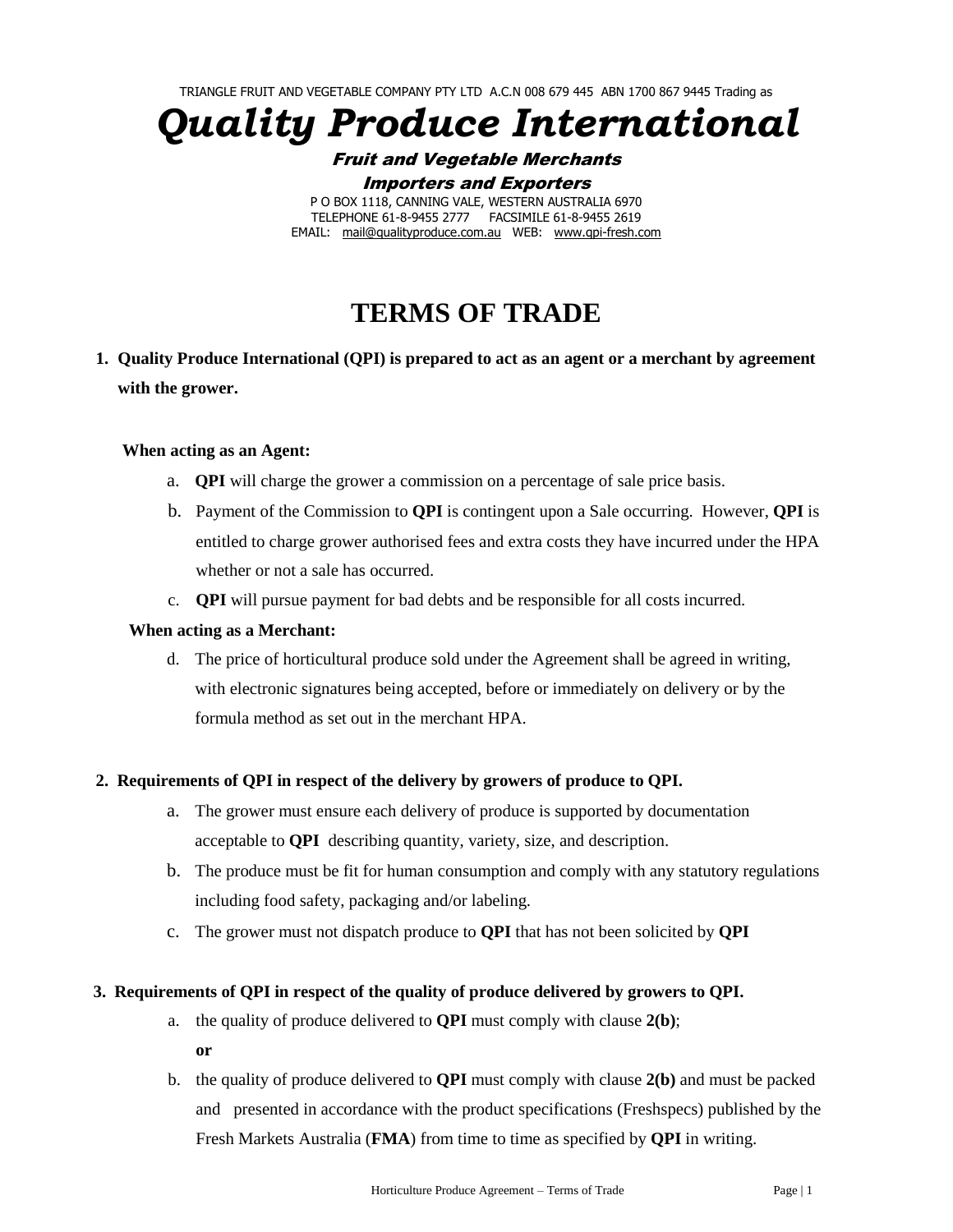TRIANGLE FRUIT AND VEGETABLE COMPANY PTY LTD A.C.N 008 679 445 ABN 1700 867 9445 Trading as

*Quality Produce International*

Fruit and Vegetable Merchants Importers and Exporters

P O BOX 1118, CANNING VALE, WESTERN AUSTRALIA 6970 TELEPHONE 61-8-9455 2777 FACSIMILE 61-8-9455 2619 EMAIL: [mail@qualityproduce.com.au](mailto:mail@qproduce.com.au) WEB: [www.qpi-fresh.com](http://www.qpi-fresh.com/)

# **TERMS OF TRADE**

**1. Quality Produce International (QPI) is prepared to act as an agent or a merchant by agreement with the grower.**

## **When acting as an Agent:**

- a. **QPI** will charge the grower a commission on a percentage of sale price basis.
- b. Payment of the Commission to **QPI** is contingent upon a Sale occurring. However, **QPI** is entitled to charge grower authorised fees and extra costs they have incurred under the HPA whether or not a sale has occurred.
- c. **QPI** will pursue payment for bad debts and be responsible for all costs incurred.

#### **When acting as a Merchant:**

d. The price of horticultural produce sold under the Agreement shall be agreed in writing, with electronic signatures being accepted, before or immediately on delivery or by the formula method as set out in the merchant HPA.

#### **2. Requirements of QPI in respect of the delivery by growers of produce to QPI.**

- a. The grower must ensure each delivery of produce is supported by documentation acceptable to **QPI** describing quantity, variety, size, and description.
- b. The produce must be fit for human consumption and comply with any statutory regulations including food safety, packaging and/or labeling.
- c. The grower must not dispatch produce to **QPI** that has not been solicited by **QPI**

#### **3.****Requirements of QPI in respect of the quality of produce delivered by growers to QPI.**

- a. the quality of produce delivered to **QPI** must comply with clause **2(b)**;
	- **or**
- b. the quality of produce delivered to **QPI** must comply with clause **2(b)** and must be packed and presented in accordance with the product specifications (Freshspecs) published by the Fresh Markets Australia (**FMA**) from time to time as specified by **QPI** in writing.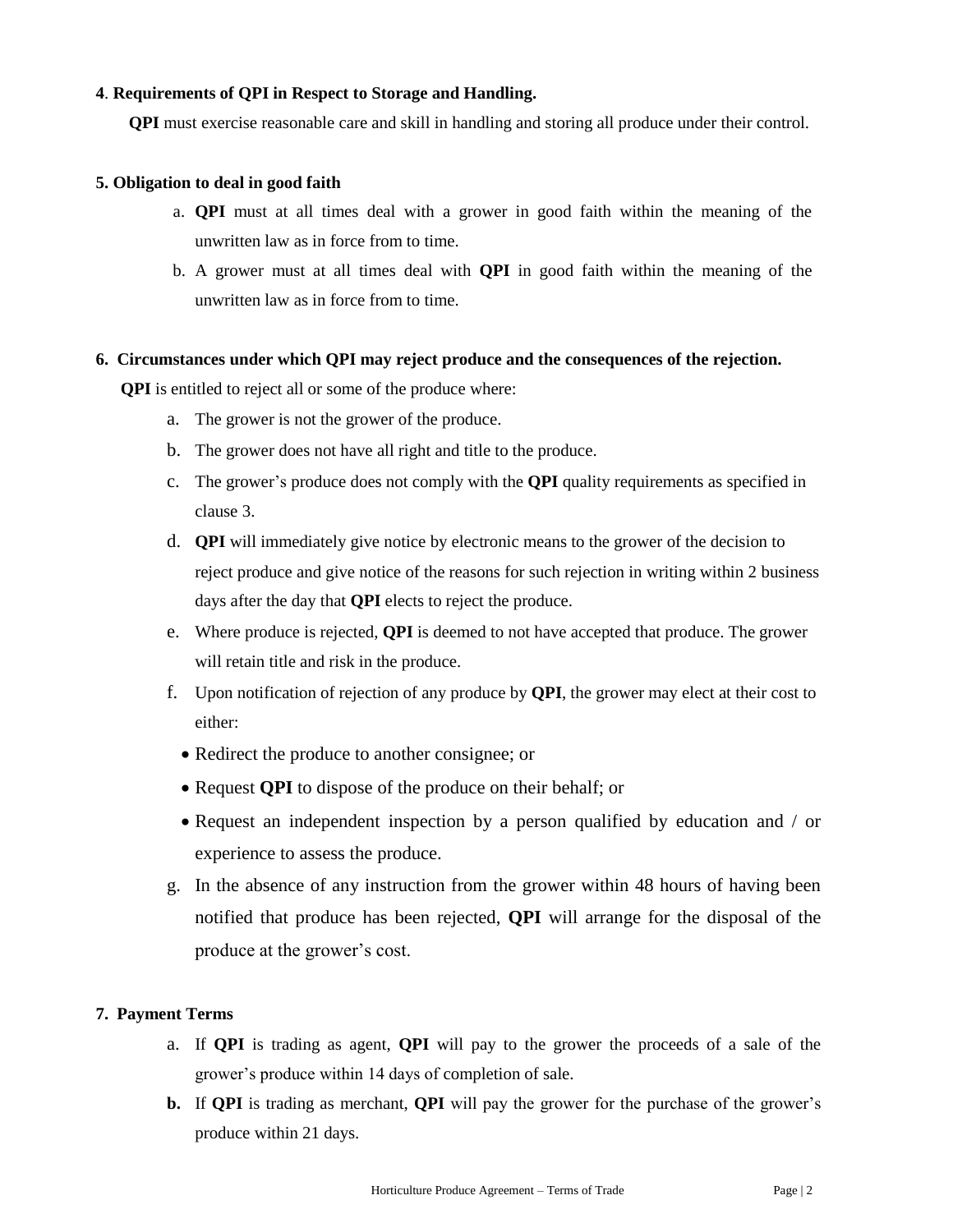### **4**. **Requirements of QPI in Respect to Storage and Handling.**

**QPI** must exercise reasonable care and skill in handling and storing all produce under their control.

#### **5. Obligation to deal in good faith**

- a. **QPI** must at all times deal with a grower in good faith within the meaning of the unwritten law as in force from to time.
- b. A grower must at all times deal with **QPI** in good faith within the meaning of the unwritten law as in force from to time.

#### **6. Circumstances under which QPI may reject produce and the consequences of the rejection.**

**QPI** is entitled to reject all or some of the produce where:

- a. The grower is not the grower of the produce.
- b. The grower does not have all right and title to the produce.
- c. The grower's produce does not comply with the **QPI** quality requirements as specified in clause 3.
- d. **QPI** will immediately give notice by electronic means to the grower of the decision to reject produce and give notice of the reasons for such rejection in writing within 2 business days after the day that **QPI** elects to reject the produce.
- e. Where produce is rejected, **QPI** is deemed to not have accepted that produce. The grower will retain title and risk in the produce.
- f. Upon notification of rejection of any produce by **QPI**, the grower may elect at their cost to either:
	- Redirect the produce to another consignee; or
	- Request **QPI** to dispose of the produce on their behalf; or
	- Request an independent inspection by a person qualified by education and / or experience to assess the produce.
- g. In the absence of any instruction from the grower within 48 hours of having been notified that produce has been rejected, **QPI** will arrange for the disposal of the produce at the grower's cost.

#### **7. Payment Terms**

- a. If **QPI** is trading as agent, **QPI** will pay to the grower the proceeds of a sale of the grower's produce within 14 days of completion of sale.
- **b.** If **QPI** is trading as merchant, **QPI** will pay the grower for the purchase of the grower's produce within 21 days.